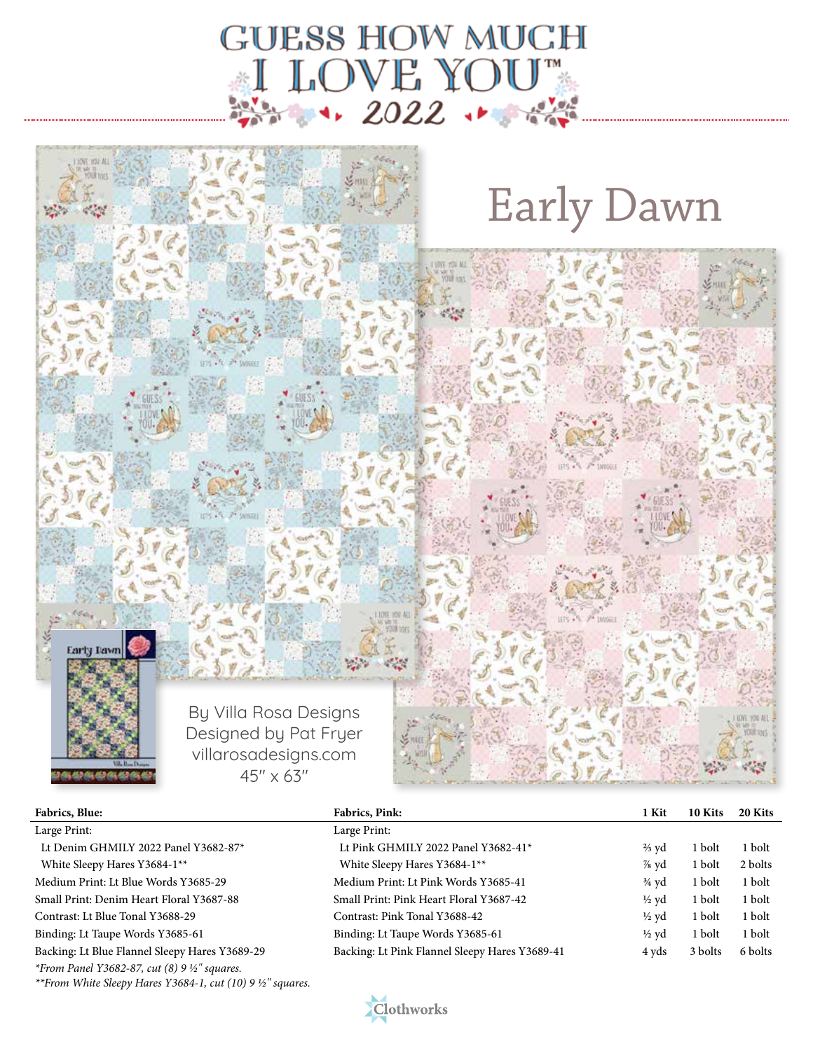



| <b>Fabrics, Blue:</b>                                                     | Fabrics, Pink:                                 | 1 Kit            | 10 Kits | 20 Kits |
|---------------------------------------------------------------------------|------------------------------------------------|------------------|---------|---------|
| Large Print:                                                              | Large Print:                                   |                  |         |         |
| Lt Denim GHMILY 2022 Panel Y3682-87*                                      | Lt Pink GHMILY 2022 Panel Y3682-41*            | $\frac{2}{3}$ yd | 1 bolt  | 1 bolt  |
| White Sleepy Hares Y3684-1**                                              | White Sleepy Hares Y3684-1**                   | $\%$ yd          | 1 bolt  | 2 bolts |
| Medium Print: Lt Blue Words Y3685-29                                      | Medium Print: Lt Pink Words Y3685-41           | $\frac{3}{4}$ yd | 1 bolt  | 1 bolt  |
| Small Print: Denim Heart Floral Y3687-88                                  | Small Print: Pink Heart Floral Y3687-42        | $\frac{1}{2}$ vd | 1 bolt  | 1 bolt  |
| Contrast: Lt Blue Tonal Y3688-29                                          | Contrast: Pink Tonal Y3688-42                  | $\frac{1}{2}$ yd | 1 bolt  | 1 bolt  |
| Binding: Lt Taupe Words Y3685-61                                          | Binding: Lt Taupe Words Y3685-61               | $\frac{1}{2}$ yd | 1 bolt  | 1 bolt  |
| Backing: Lt Blue Flannel Sleepy Hares Y3689-29                            | Backing: Lt Pink Flannel Sleepy Hares Y3689-41 | 4 yds            | 3 bolts | 6 bolts |
| <i>*From Panel Y3682-87, cut (8) 9 <math>\frac{1}{2}</math>" squares.</i> |                                                |                  |         |         |



*\*\*From White Sleepy Hares Y3684-1, cut (10) 9 ½" squares.*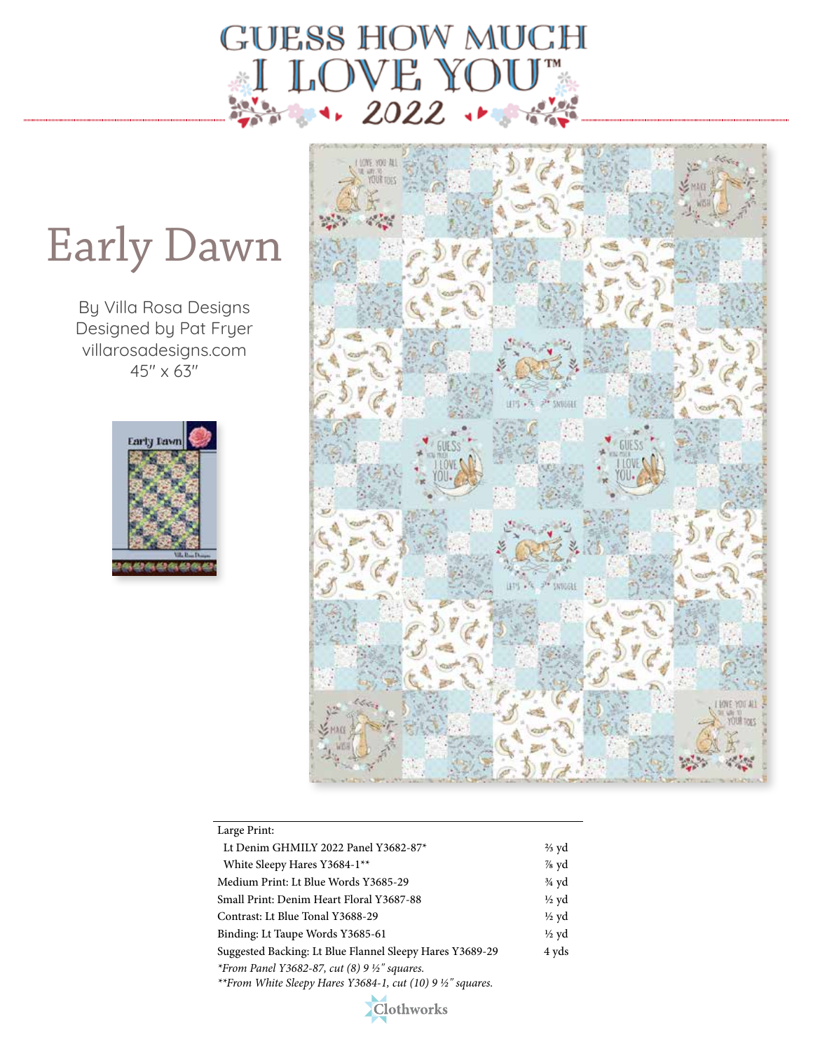

## Early Dawn

By Villa Rosa Designs Designed by Pat Fryer villarosadesigns.com  $45'' \times 63''$ 





| Large Print:                                                                                                                             |                  |
|------------------------------------------------------------------------------------------------------------------------------------------|------------------|
| Lt Denim GHMILY 2022 Panel Y3682-87*                                                                                                     | $\frac{2}{3}$ yd |
| White Sleepy Hares Y3684-1 <sup>**</sup>                                                                                                 | $%$ yd           |
| Medium Print: Lt Blue Words Y3685-29                                                                                                     | $\frac{3}{4}$ yd |
| Small Print: Denim Heart Floral Y3687-88                                                                                                 | $\frac{1}{2}$ yd |
| Contrast: Lt Blue Tonal Y3688-29                                                                                                         | $\frac{1}{2}$ yd |
| Binding: Lt Taupe Words Y3685-61                                                                                                         | $\frac{1}{2}$ yd |
| Suggested Backing: Lt Blue Flannel Sleepy Hares Y3689-29                                                                                 | 4 yds            |
| <i>*From Panel Y3682-87, cut (8) 9 <math>\frac{1}{2}</math>" squares.</i><br>**From White Sleepy Hares Y3684-1, cut (10) 9 1/2" squares. |                  |